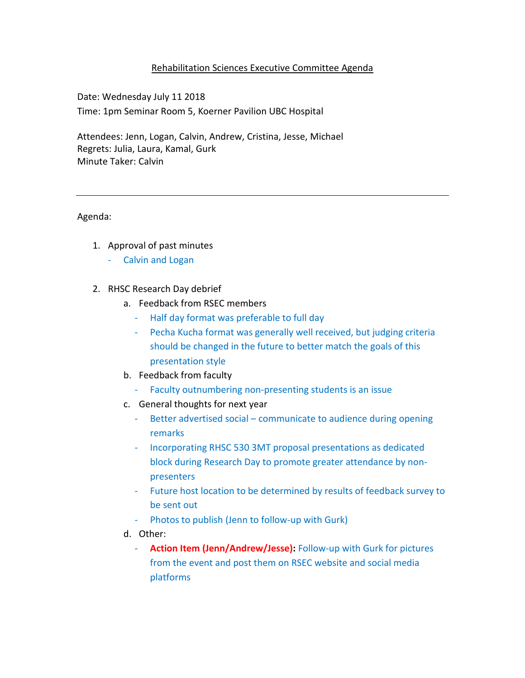## Rehabilitation Sciences Executive Committee Agenda

Date: Wednesday July 11 2018 Time: 1pm Seminar Room 5, Koerner Pavilion UBC Hospital

Attendees: Jenn, Logan, Calvin, Andrew, Cristina, Jesse, Michael Regrets: Julia, Laura, Kamal, Gurk Minute Taker: Calvin

Agenda:

- 1. Approval of past minutes
	- Calvin and Logan
- 2. RHSC Research Day debrief
	- a. Feedback from RSEC members
		- Half day format was preferable to full day
		- Pecha Kucha format was generally well received, but judging criteria should be changed in the future to better match the goals of this presentation style
	- b. Feedback from faculty
		- Faculty outnumbering non-presenting students is an issue
	- c. General thoughts for next year
		- Better advertised social communicate to audience during opening remarks
		- Incorporating RHSC 530 3MT proposal presentations as dedicated block during Research Day to promote greater attendance by nonpresenters
		- Future host location to be determined by results of feedback survey to be sent out
		- Photos to publish (Jenn to follow-up with Gurk)
	- d. Other:
		- **Action Item (Jenn/Andrew/Jesse):** Follow-up with Gurk for pictures from the event and post them on RSEC website and social media platforms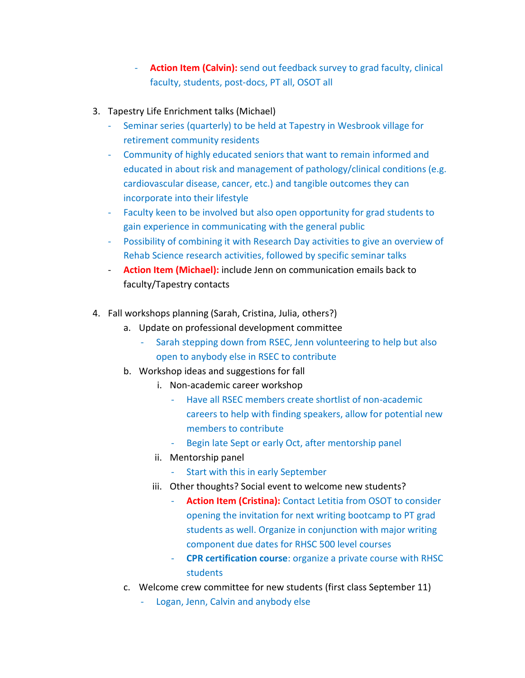- **Action Item (Calvin):** send out feedback survey to grad faculty, clinical faculty, students, post-docs, PT all, OSOT all
- 3. Tapestry Life Enrichment talks (Michael)
	- Seminar series (quarterly) to be held at Tapestry in Wesbrook village for retirement community residents
	- Community of highly educated seniors that want to remain informed and educated in about risk and management of pathology/clinical conditions (e.g. cardiovascular disease, cancer, etc.) and tangible outcomes they can incorporate into their lifestyle
	- Faculty keen to be involved but also open opportunity for grad students to gain experience in communicating with the general public
	- Possibility of combining it with Research Day activities to give an overview of Rehab Science research activities, followed by specific seminar talks
	- **Action Item (Michael):** include Jenn on communication emails back to faculty/Tapestry contacts
- 4. Fall workshops planning (Sarah, Cristina, Julia, others?)
	- a. Update on professional development committee
		- Sarah stepping down from RSEC, Jenn volunteering to help but also open to anybody else in RSEC to contribute
	- b. Workshop ideas and suggestions for fall
		- i. Non-academic career workshop
			- Have all RSEC members create shortlist of non-academic careers to help with finding speakers, allow for potential new members to contribute
			- Begin late Sept or early Oct, after mentorship panel
		- ii. Mentorship panel
			- Start with this in early September
		- iii. Other thoughts? Social event to welcome new students?
			- **Action Item (Cristina):** Contact Letitia from OSOT to consider opening the invitation for next writing bootcamp to PT grad students as well. Organize in conjunction with major writing component due dates for RHSC 500 level courses
			- **CPR certification course**: organize a private course with RHSC students
	- c. Welcome crew committee for new students (first class September 11)
		- Logan, Jenn, Calvin and anybody else